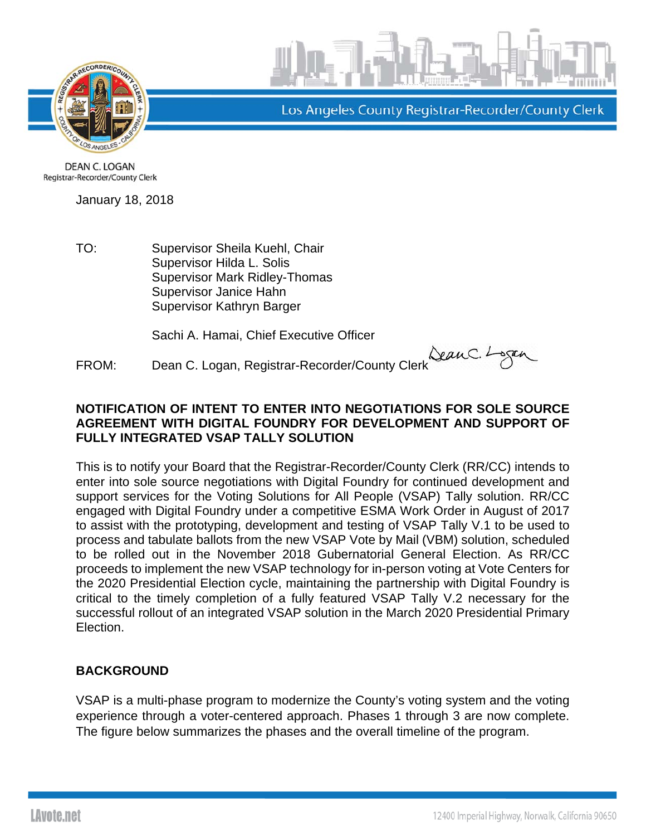



Los Angeles County Registrar-Recorder/County Clerk

**DEAN C. LOGAN** Registrar-Recorder/County Clerk

January 18, 2018

TO: Supervisor Sheila Kuehl, Chair Supervisor Hilda L. Solis Supervisor Mark Ridley-Thomas Supervisor Janice Hahn Supervisor Kathryn Barger

Sachi A. Hamai, Chief Executive Officer

FROM: Dean C. Logan, Registrar-Recorder/County Clerk Sean C. Logan, Registrar-Recorder/County Clerk

## **NOTIFICATION OF INTENT TO ENTER INTO NEGOTIATIONS FOR SOLE SOURCE AGREEMENT WITH DIGITAL FOUNDRY FOR DEVELOPMENT AND SUPPORT OF FULLY INTEGRATED VSAP TALLY SOLUTION**

This is to notify your Board that the Registrar-Recorder/County Clerk (RR/CC) intends to enter into sole source negotiations with Digital Foundry for continued development and support services for the Voting Solutions for All People (VSAP) Tally solution. RR/CC engaged with Digital Foundry under a competitive ESMA Work Order in August of 2017 to assist with the prototyping, development and testing of VSAP Tally V.1 to be used to process and tabulate ballots from the new VSAP Vote by Mail (VBM) solution, scheduled to be rolled out in the November 2018 Gubernatorial General Election. As RR/CC proceeds to implement the new VSAP technology for in-person voting at Vote Centers for the 2020 Presidential Election cycle, maintaining the partnership with Digital Foundry is critical to the timely completion of a fully featured VSAP Tally V.2 necessary for the successful rollout of an integrated VSAP solution in the March 2020 Presidential Primary Election.

## **BACKGROUND**

VSAP is a multi-phase program to modernize the County's voting system and the voting experience through a voter-centered approach. Phases 1 through 3 are now complete. The figure below summarizes the phases and the overall timeline of the program.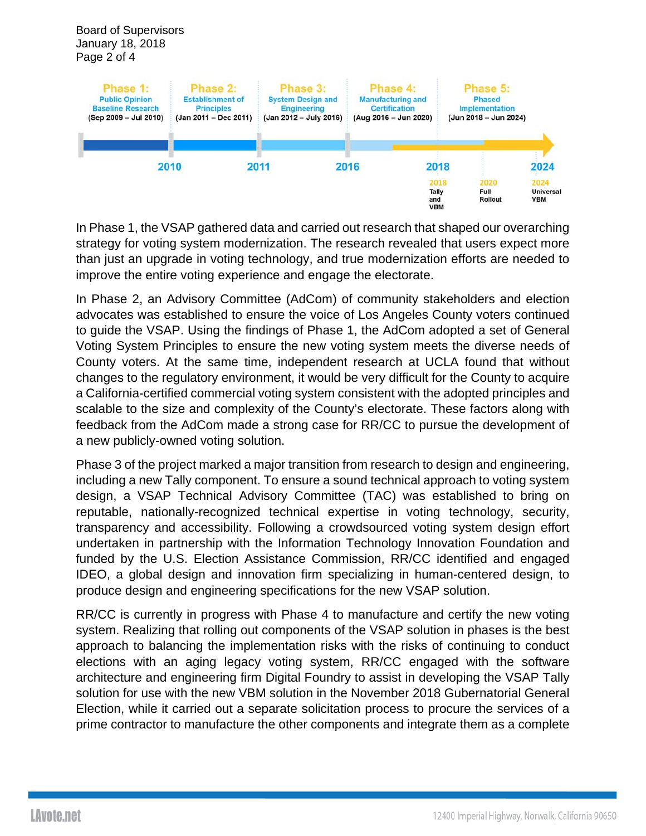Board of Supervisors January 18, 2018 Page 2 of 4



In Phase 1, the VSAP gathered data and carried out research that shaped our overarching strategy for voting system modernization. The research revealed that users expect more than just an upgrade in voting technology, and true modernization efforts are needed to improve the entire voting experience and engage the electorate.

In Phase 2, an Advisory Committee (AdCom) of community stakeholders and election advocates was established to ensure the voice of Los Angeles County voters continued to guide the VSAP. Using the findings of Phase 1, the AdCom adopted a set of General Voting System Principles to ensure the new voting system meets the diverse needs of County voters. At the same time, independent research at UCLA found that without changes to the regulatory environment, it would be very difficult for the County to acquire a California-certified commercial voting system consistent with the adopted principles and scalable to the size and complexity of the County's electorate. These factors along with feedback from the AdCom made a strong case for RR/CC to pursue the development of a new publicly-owned voting solution.

Phase 3 of the project marked a major transition from research to design and engineering, including a new Tally component. To ensure a sound technical approach to voting system design, a VSAP Technical Advisory Committee (TAC) was established to bring on reputable, nationally-recognized technical expertise in voting technology, security, transparency and accessibility. Following a crowdsourced voting system design effort undertaken in partnership with the Information Technology Innovation Foundation and funded by the U.S. Election Assistance Commission, RR/CC identified and engaged IDEO, a global design and innovation firm specializing in human-centered design, to produce design and engineering specifications for the new VSAP solution.

RR/CC is currently in progress with Phase 4 to manufacture and certify the new voting system. Realizing that rolling out components of the VSAP solution in phases is the best approach to balancing the implementation risks with the risks of continuing to conduct elections with an aging legacy voting system, RR/CC engaged with the software architecture and engineering firm Digital Foundry to assist in developing the VSAP Tally solution for use with the new VBM solution in the November 2018 Gubernatorial General Election, while it carried out a separate solicitation process to procure the services of a prime contractor to manufacture the other components and integrate them as a complete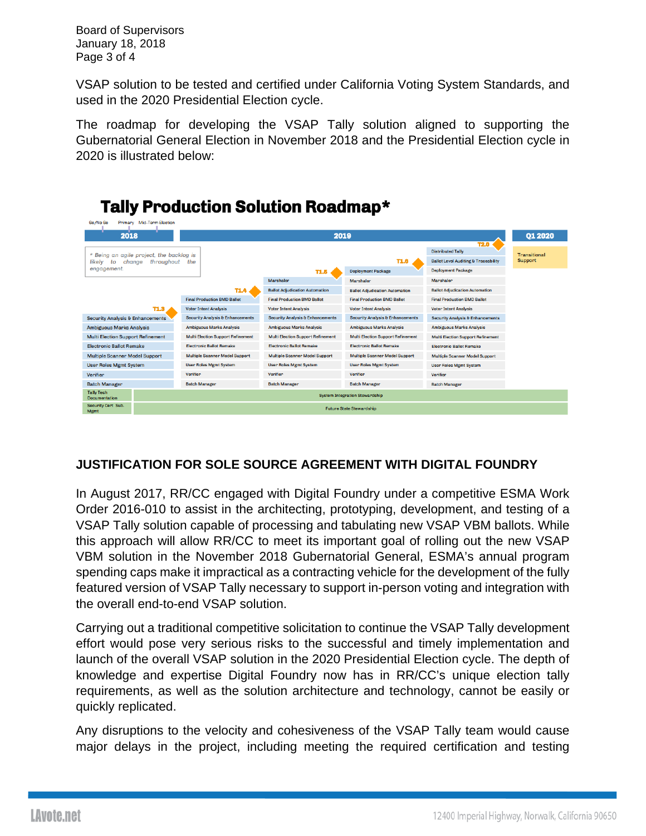Board of Supervisors January 18, 2018 Page 3 of 4

VSAP solution to be tested and certified under California Voting System Standards, and used in the 2020 Presidential Election cycle.

The roadmap for developing the VSAP Tally solution aligned to supporting the Gubernatorial General Election in November 2018 and the Presidential Election cycle in 2020 is illustrated below:



## **JUSTIFICATION FOR SOLE SOURCE AGREEMENT WITH DIGITAL FOUNDRY**

In August 2017, RR/CC engaged with Digital Foundry under a competitive ESMA Work Order 2016-010 to assist in the architecting, prototyping, development, and testing of a VSAP Tally solution capable of processing and tabulating new VSAP VBM ballots. While this approach will allow RR/CC to meet its important goal of rolling out the new VSAP VBM solution in the November 2018 Gubernatorial General, ESMA's annual program spending caps make it impractical as a contracting vehicle for the development of the fully featured version of VSAP Tally necessary to support in-person voting and integration with the overall end-to-end VSAP solution.

Carrying out a traditional competitive solicitation to continue the VSAP Tally development effort would pose very serious risks to the successful and timely implementation and launch of the overall VSAP solution in the 2020 Presidential Election cycle. The depth of knowledge and expertise Digital Foundry now has in RR/CC's unique election tally requirements, as well as the solution architecture and technology, cannot be easily or quickly replicated.

Any disruptions to the velocity and cohesiveness of the VSAP Tally team would cause major delays in the project, including meeting the required certification and testing